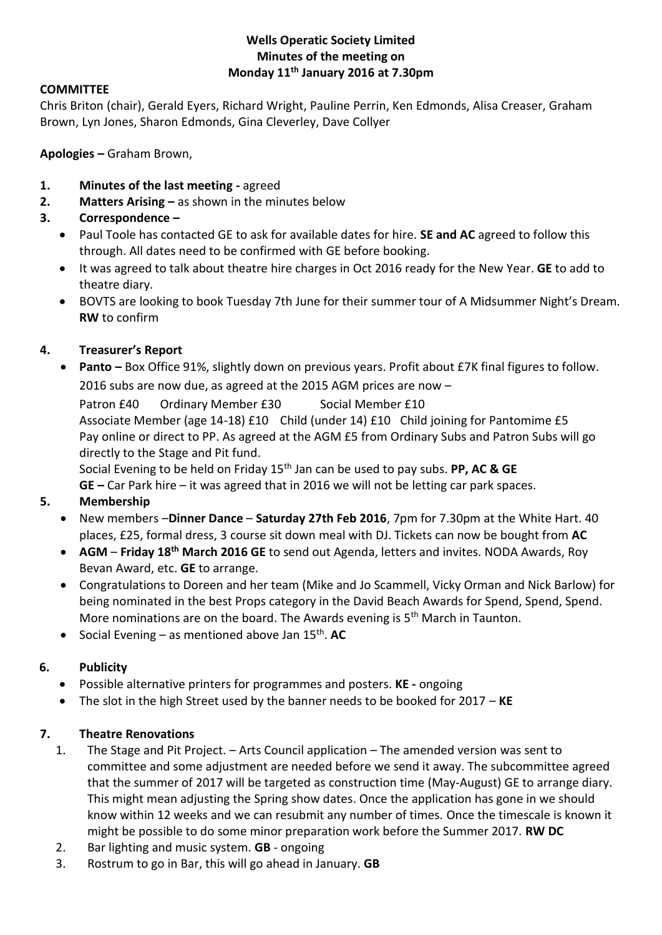### **Wells Operatic Society Limited Minutes of the meeting on Monday 11th January 2016 at 7.30pm**

### **COMMITTEE**

Chris Briton (chair), Gerald Eyers, Richard Wright, Pauline Perrin, Ken Edmonds, Alisa Creaser, Graham Brown, Lyn Jones, Sharon Edmonds, Gina Cleverley, Dave Collyer

**Apologies –** Graham Brown,

- **1. Minutes of the last meeting -** agreed
- **2. Matters Arising –** as shown in the minutes below
- **3. Correspondence –**
	- Paul Toole has contacted GE to ask for available dates for hire. **SE and AC** agreed to follow this through. All dates need to be confirmed with GE before booking.
	- It was agreed to talk about theatre hire charges in Oct 2016 ready for the New Year. **GE** to add to theatre diary.
	- BOVTS are looking to book Tuesday 7th June for their summer tour of A Midsummer Night's Dream. **RW** to confirm

# **4. Treasurer's Report**

**•** Panto – Box Office 91%, slightly down on previous years. Profit about £7K final figures to follow. 2016 subs are now due, as agreed at the 2015 AGM prices are now –

Patron £40 Ordinary Member £30 Social Member £10 Associate Member (age 14-18) £10 Child (under 14) £10 Child joining for Pantomime £5 Pay online or direct to PP. As agreed at the AGM £5 from Ordinary Subs and Patron Subs will go directly to the Stage and Pit fund.

Social Evening to be held on Friday 15th Jan can be used to pay subs. **PP, AC & GE GE –** Car Park hire – it was agreed that in 2016 we will not be letting car park spaces.

# **5. Membership**

- New members –**Dinner Dance Saturday 27th Feb 2016**, 7pm for 7.30pm at the White Hart. 40 places, £25, formal dress, 3 course sit down meal with DJ. Tickets can now be bought from **AC**
- **AGM Friday 18th March 2016 GE** to send out Agenda, letters and invites. NODA Awards, Roy Bevan Award, etc. **GE** to arrange.
- Congratulations to Doreen and her team (Mike and Jo Scammell, Vicky Orman and Nick Barlow) for being nominated in the best Props category in the David Beach Awards for Spend, Spend, Spend. More nominations are on the board. The Awards evening is 5<sup>th</sup> March in Taunton.
- Social Evening as mentioned above Jan 15th . **AC**

# **6. Publicity**

- Possible alternative printers for programmes and posters. **KE -** ongoing
- The slot in the high Street used by the banner needs to be booked for 2017 **KE**

# **7. Theatre Renovations**

- 1. The Stage and Pit Project. Arts Council application The amended version was sent to committee and some adjustment are needed before we send it away. The subcommittee agreed that the summer of 2017 will be targeted as construction time (May-August) GE to arrange diary. This might mean adjusting the Spring show dates. Once the application has gone in we should know within 12 weeks and we can resubmit any number of times. Once the timescale is known it might be possible to do some minor preparation work before the Summer 2017. **RW DC**
- 2. Bar lighting and music system. **GB** ongoing
- 3. Rostrum to go in Bar, this will go ahead in January. **GB**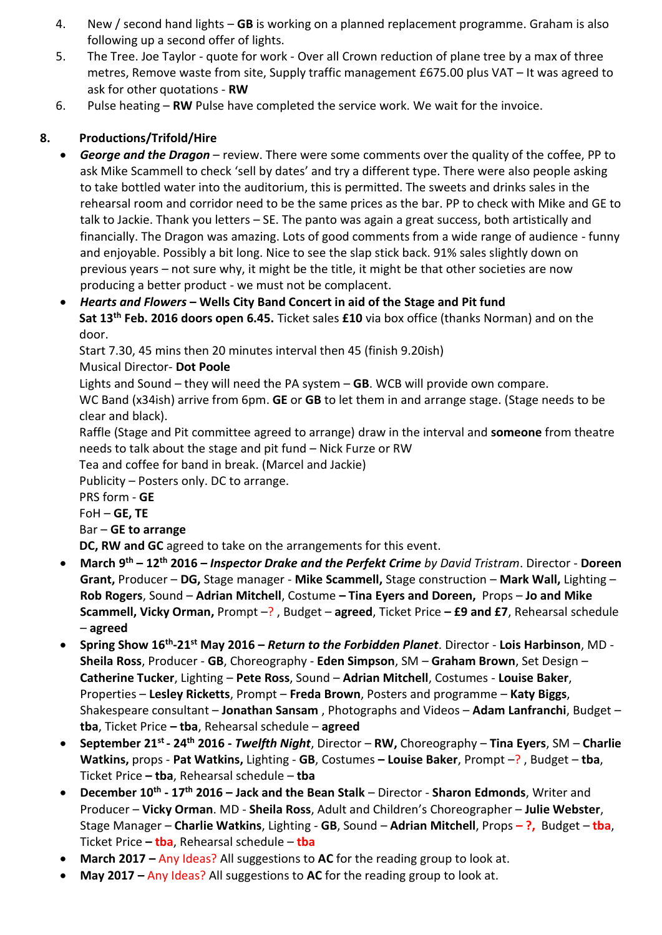- 4. New / second hand lights **GB** is working on a planned replacement programme. Graham is also following up a second offer of lights.
- 5. The Tree. Joe Taylor quote for work Over all Crown reduction of plane tree by a max of three metres, Remove waste from site, Supply traffic management £675.00 plus VAT – It was agreed to ask for other quotations - **RW**
- 6. Pulse heating **RW** Pulse have completed the service work. We wait for the invoice.

# **8. Productions/Trifold/Hire**

- *George and the Dragon* review. There were some comments over the quality of the coffee, PP to ask Mike Scammell to check 'sell by dates' and try a different type. There were also people asking to take bottled water into the auditorium, this is permitted. The sweets and drinks sales in the rehearsal room and corridor need to be the same prices as the bar. PP to check with Mike and GE to talk to Jackie. Thank you letters – SE. The panto was again a great success, both artistically and financially. The Dragon was amazing. Lots of good comments from a wide range of audience - funny and enjoyable. Possibly a bit long. Nice to see the slap stick back. 91% sales slightly down on previous years – not sure why, it might be the title, it might be that other societies are now producing a better product - we must not be complacent.
- *Hearts and Flowers* **– Wells City Band Concert in aid of the Stage and Pit fund Sat 13th Feb. 2016 doors open 6.45.** Ticket sales **£10** via box office (thanks Norman) and on the door.

Start 7.30, 45 mins then 20 minutes interval then 45 (finish 9.20ish)

Musical Director- **Dot Poole**

Lights and Sound – they will need the PA system – **GB**. WCB will provide own compare.

WC Band (x34ish) arrive from 6pm. **GE** or **GB** to let them in and arrange stage. (Stage needs to be clear and black).

Raffle (Stage and Pit committee agreed to arrange) draw in the interval and **someone** from theatre needs to talk about the stage and pit fund – Nick Furze or RW

Tea and coffee for band in break. (Marcel and Jackie)

Publicity – Posters only. DC to arrange.

PRS form - **GE**

FoH – **GE, TE**

Bar – **GE to arrange**

**DC, RW and GC** agreed to take on the arrangements for this event.

- **March 9 th – 12th 2016 –** *Inspector Drake and the Perfekt Crime by David Tristram*. Director **Doreen Grant,** Producer – **DG,** Stage manager - **Mike Scammell,** Stage construction – **Mark Wall,** Lighting – **Rob Rogers**, Sound – **Adrian Mitchell**, Costume **– Tina Eyers and Doreen,** Props – **Jo and Mike Scammell, Vicky Orman,** Prompt –? , Budget – **agreed**, Ticket Price **– £9 and £7**, Rehearsal schedule – **agreed**
- **Spring Show 16th -21st May 2016 –** *Return to the Forbidden Planet*. Director **Lois Harbinson**, MD **Sheila Ross**, Producer - **GB**, Choreography - **Eden Simpson**, SM – **Graham Brown**, Set Design – **Catherine Tucker**, Lighting – **Pete Ross**, Sound – **Adrian Mitchell**, Costumes - **Louise Baker**, Properties – **Lesley Ricketts**, Prompt – **Freda Brown**, Posters and programme – **Katy Biggs**, Shakespeare consultant – **Jonathan Sansam** , Photographs and Videos – **Adam Lanfranchi**, Budget – **tba**, Ticket Price **– tba**, Rehearsal schedule – **agreed**
- **September 21st - 24th 2016 -** *Twelfth Night*, Director **RW,** Choreography **Tina Eyers**, SM **Charlie Watkins,** props - **Pat Watkins,** Lighting - **GB**, Costumes **– Louise Baker**, Prompt –? , Budget – **tba**, Ticket Price **– tba**, Rehearsal schedule – **tba**
- **December 10th - 17th 2016 – Jack and the Bean Stalk** Director **Sharon Edmonds**, Writer and Producer – **Vicky Orman**. MD - **Sheila Ross**, Adult and Children's Choreographer – **Julie Webster**, Stage Manager – **Charlie Watkins**, Lighting - **GB**, Sound – **Adrian Mitchell**, Props **– ?,** Budget – **tba**, Ticket Price **– tba**, Rehearsal schedule – **tba**
- **March 2017 –** Any Ideas? All suggestions to **AC** for the reading group to look at.
- **May 2017 –** Any Ideas? All suggestions to **AC** for the reading group to look at.